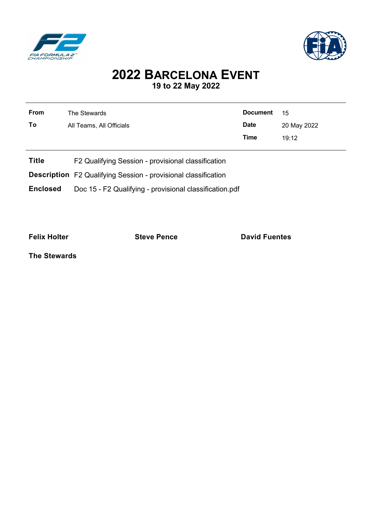



## **2022 BARCELONA EVENT 19 to 22 May 2022**

| From | The Stewards             | <b>Document</b> | 15          |
|------|--------------------------|-----------------|-------------|
| To   | All Teams, All Officials | <b>Date</b>     | 20 May 2022 |
|      |                          | Time            | 19:12       |
|      |                          |                 |             |

- **Title** F2 Qualifying Session provisional classification
- **Description** F2 Qualifying Session provisional classification
- **Enclosed** Doc 15 F2 Qualifying provisional classification.pdf

**Felix Holter Constanting Steve Pence Constanting David Fuentes** 

**The Stewards**